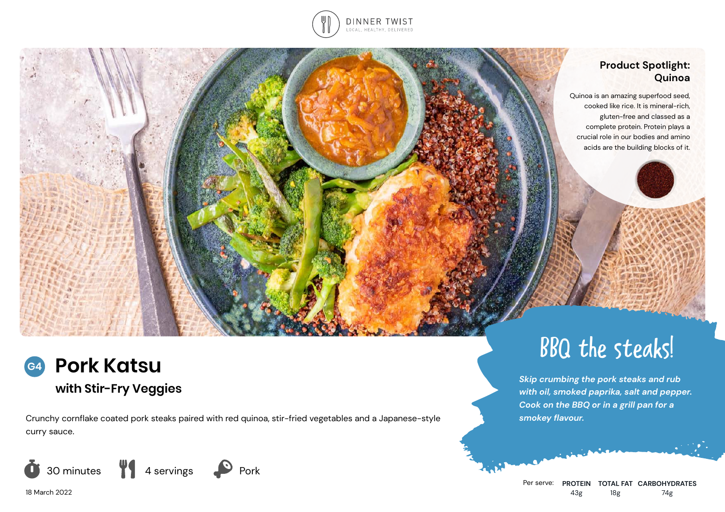

### **Product Spotlight: Quinoa**

Quinoa is an amazing superfood seed, cooked like rice. It is mineral-rich, gluten-free and classed as a complete protein. Protein plays a crucial role in our bodies and amino acids are the building blocks of it.



# **with Stir-Fry Veggies**

Crunchy cornflake coated pork steaks paired with red quinoa, stir-fried vegetables and a Japanese-style curry sauce.



BBQ the steaks!

*Skip crumbing the pork steaks and rub with oil, smoked paprika, salt and pepper. Cook on the BBQ or in a grill pan for a smokey flavour.*